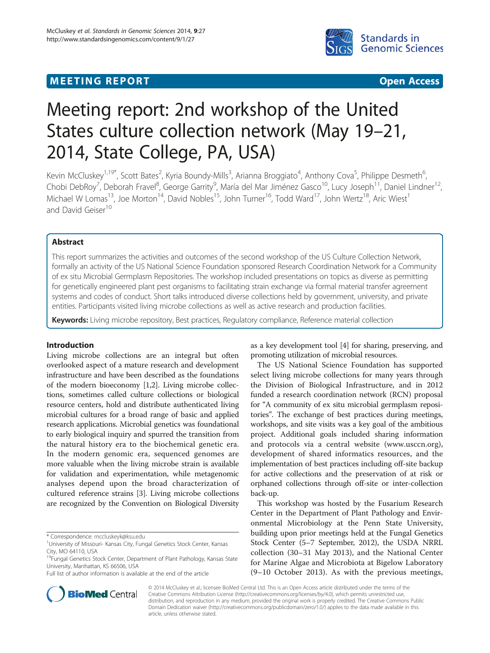## **MEETING REPORT CONSUMING A REPORT** And the set of the set of the set of the set of the set of the set of the set of the set of the set of the set of the set of the set of the set of the set of the set of the set of the se



# Meeting report: 2nd workshop of the United States culture collection network (May 19–21, 2014, State College, PA, USA)

Kevin McCluskey<sup>1,19\*</sup>, Scott Bates<sup>2</sup>, Kyria Boundy-Mills<sup>3</sup>, Arianna Broggiato<sup>4</sup>, Anthony Cova<sup>5</sup>, Philippe Desmeth<sup>6</sup> י<br>, Chobi DebRoy<sup>7</sup>, Deborah Fravel<sup>8</sup>, George Garrity<sup>9</sup>, María del Mar Jiménez Gasco<sup>10</sup>, Lucy Joseph<sup>11</sup>, Daniel Lindner<sup>12</sup>, Michael W Lomas<sup>13</sup>, Joe Morton<sup>14</sup>, David Nobles<sup>15</sup>, John Turner<sup>16</sup>, Todd Ward<sup>17</sup>, John Wertz<sup>18</sup>, Aric Wiest<sup>1</sup> and David Geiser<sup>10</sup>

## Abstract

This report summarizes the activities and outcomes of the second workshop of the US Culture Collection Network, formally an activity of the US National Science Foundation sponsored Research Coordination Network for a Community of ex situ Microbial Germplasm Repositories. The workshop included presentations on topics as diverse as permitting for genetically engineered plant pest organisms to facilitating strain exchange via formal material transfer agreement systems and codes of conduct. Short talks introduced diverse collections held by government, university, and private entities. Participants visited living microbe collections as well as active research and production facilities.

Keywords: Living microbe repository, Best practices, Regulatory compliance, Reference material collection

### Introduction

Living microbe collections are an integral but often overlooked aspect of a mature research and development infrastructure and have been described as the foundations of the modern bioeconomy [\[1,2](#page-3-0)]. Living microbe collections, sometimes called culture collections or biological resource centers, hold and distribute authenticated living microbial cultures for a broad range of basic and applied research applications. Microbial genetics was foundational to early biological inquiry and spurred the transition from the natural history era to the biochemical genetic era. In the modern genomic era, sequenced genomes are more valuable when the living microbe strain is available for validation and experimentation, while metagenomic analyses depend upon the broad characterization of cultured reference strains [\[3\]](#page-3-0). Living microbe collections are recognized by the Convention on Biological Diversity



The US National Science Foundation has supported select living microbe collections for many years through the Division of Biological Infrastructure, and in 2012 funded a research coordination network (RCN) proposal for "A community of ex situ microbial germplasm repositories". The exchange of best practices during meetings, workshops, and site visits was a key goal of the ambitious project. Additional goals included sharing information and protocols via a central website [\(www.usccn.org](http://www.usccn.org)), development of shared informatics resources, and the implementation of best practices including off-site backup for active collections and the preservation of at risk or orphaned collections through off-site or inter-collection back-up.

This workshop was hosted by the Fusarium Research Center in the Department of Plant Pathology and Environmental Microbiology at the Penn State University, building upon prior meetings held at the Fungal Genetics Stock Center (5–7 September, 2012), the USDA NRRL collection (30–31 May 2013), and the National Center for Marine Algae and Microbiota at Bigelow Laboratory (9–10 October 2013). As with the previous meetings,



© 2014 McCluskey et al.; licensee BioMed Central Ltd. This is an Open Access article distributed under the terms of the Creative Commons Attribution License (<http://creativecommons.org/licenses/by/4.0>), which permits unrestricted use, distribution, and reproduction in any medium, provided the original work is properly credited. The Creative Commons Public Domain Dedication waiver [\(http://creativecommons.org/publicdomain/zero/1.0/\)](http://creativecommons.org/publicdomain/zero/1.0/) applies to the data made available in this article, unless otherwise stated.

<sup>\*</sup> Correspondence: [mccluskeyk@ksu.edu](mailto:mccluskeyk@ksu.edu) <sup>1</sup>

<sup>&</sup>lt;sup>1</sup>University of Missouri- Kansas City, Fungal Genetics Stock Center, Kansas City, MO 64110, USA

<sup>&</sup>lt;sup>19</sup>Fungal Genetics Stock Center, Department of Plant Pathology, Kansas State University, Manhattan, KS 66506, USA

Full list of author information is available at the end of the article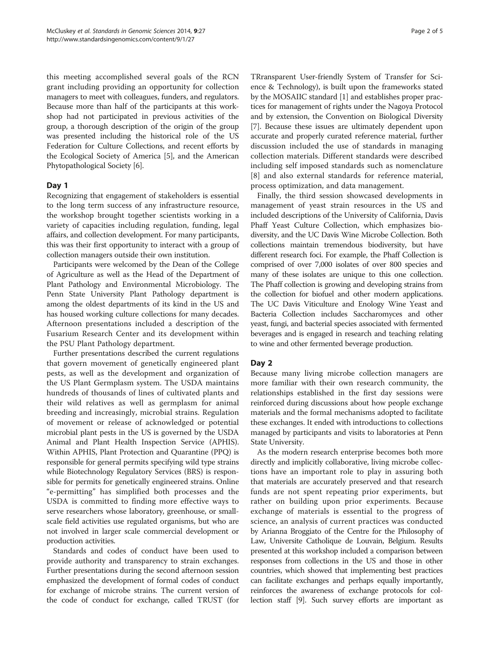this meeting accomplished several goals of the RCN grant including providing an opportunity for collection managers to meet with colleagues, funders, and regulators. Because more than half of the participants at this workshop had not participated in previous activities of the group, a thorough description of the origin of the group was presented including the historical role of the US Federation for Culture Collections, and recent efforts by the Ecological Society of America [\[5](#page-4-0)], and the American Phytopathological Society [[6\]](#page-4-0).

## Day 1

Recognizing that engagement of stakeholders is essential to the long term success of any infrastructure resource, the workshop brought together scientists working in a variety of capacities including regulation, funding, legal affairs, and collection development. For many participants, this was their first opportunity to interact with a group of collection managers outside their own institution.

Participants were welcomed by the Dean of the College of Agriculture as well as the Head of the Department of Plant Pathology and Environmental Microbiology. The Penn State University Plant Pathology department is among the oldest departments of its kind in the US and has housed working culture collections for many decades. Afternoon presentations included a description of the Fusarium Research Center and its development within the PSU Plant Pathology department.

Further presentations described the current regulations that govern movement of genetically engineered plant pests, as well as the development and organization of the US Plant Germplasm system. The USDA maintains hundreds of thousands of lines of cultivated plants and their wild relatives as well as germplasm for animal breeding and increasingly, microbial strains. Regulation of movement or release of acknowledged or potential microbial plant pests in the US is governed by the USDA Animal and Plant Health Inspection Service (APHIS). Within APHIS, Plant Protection and Quarantine (PPQ) is responsible for general permits specifying wild type strains while Biotechnology Regulatory Services (BRS) is responsible for permits for genetically engineered strains. Online "e-permitting" has simplified both processes and the USDA is committed to finding more effective ways to serve researchers whose laboratory, greenhouse, or smallscale field activities use regulated organisms, but who are not involved in larger scale commercial development or production activities.

Standards and codes of conduct have been used to provide authority and transparency to strain exchanges. Further presentations during the second afternoon session emphasized the development of formal codes of conduct for exchange of microbe strains. The current version of the code of conduct for exchange, called TRUST (for

TRransparent User-friendly System of Transfer for Science & Technology), is built upon the frameworks stated by the MOSAIIC standard [[1\]](#page-3-0) and establishes proper practices for management of rights under the Nagoya Protocol and by extension, the Convention on Biological Diversity [[7\]](#page-4-0). Because these issues are ultimately dependent upon accurate and properly curated reference material, further discussion included the use of standards in managing collection materials. Different standards were described including self imposed standards such as nomenclature [[8\]](#page-4-0) and also external standards for reference material, process optimization, and data management.

Finally, the third session showcased developments in management of yeast strain resources in the US and included descriptions of the University of California, Davis Phaff Yeast Culture Collection, which emphasizes biodiversity, and the UC Davis Wine Microbe Collection. Both collections maintain tremendous biodiversity, but have different research foci. For example, the Phaff Collection is comprised of over 7,000 isolates of over 800 species and many of these isolates are unique to this one collection. The Phaff collection is growing and developing strains from the collection for biofuel and other modern applications. The UC Davis Viticulture and Enology Wine Yeast and Bacteria Collection includes Saccharomyces and other yeast, fungi, and bacterial species associated with fermented beverages and is engaged in research and teaching relating to wine and other fermented beverage production.

## Day 2

Because many living microbe collection managers are more familiar with their own research community, the relationships established in the first day sessions were reinforced during discussions about how people exchange materials and the formal mechanisms adopted to facilitate these exchanges. It ended with introductions to collections managed by participants and visits to laboratories at Penn State University.

As the modern research enterprise becomes both more directly and implicitly collaborative, living microbe collections have an important role to play in assuring both that materials are accurately preserved and that research funds are not spent repeating prior experiments, but rather on building upon prior experiments. Because exchange of materials is essential to the progress of science, an analysis of current practices was conducted by Arianna Broggiato of the Centre for the Philosophy of Law, Universite Catholique de Louvain, Belgium. Results presented at this workshop included a comparison between responses from collections in the US and those in other countries, which showed that implementing best practices can facilitate exchanges and perhaps equally importantly, reinforces the awareness of exchange protocols for collection staff [\[9\]](#page-4-0). Such survey efforts are important as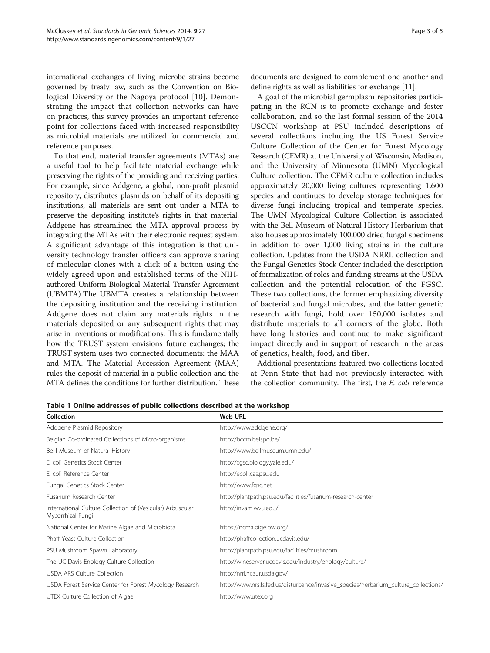<span id="page-2-0"></span>international exchanges of living microbe strains become governed by treaty law, such as the Convention on Biological Diversity or the Nagoya protocol [[10\]](#page-4-0). Demonstrating the impact that collection networks can have on practices, this survey provides an important reference point for collections faced with increased responsibility as microbial materials are utilized for commercial and reference purposes.

To that end, material transfer agreements (MTAs) are a useful tool to help facilitate material exchange while preserving the rights of the providing and receiving parties. For example, since Addgene, a global, non-profit plasmid repository, distributes plasmids on behalf of its depositing institutions, all materials are sent out under a MTA to preserve the depositing institute's rights in that material. Addgene has streamlined the MTA approval process by integrating the MTAs with their electronic request system. A significant advantage of this integration is that university technology transfer officers can approve sharing of molecular clones with a click of a button using the widely agreed upon and established terms of the NIHauthored Uniform Biological Material Transfer Agreement (UBMTA).The UBMTA creates a relationship between the depositing institution and the receiving institution. Addgene does not claim any materials rights in the materials deposited or any subsequent rights that may arise in inventions or modifications. This is fundamentally how the TRUST system envisions future exchanges; the TRUST system uses two connected documents: the MAA and MTA. The Material Accession Agreement (MAA) rules the deposit of material in a public collection and the MTA defines the conditions for further distribution. These

documents are designed to complement one another and define rights as well as liabilities for exchange [[11\]](#page-4-0).

A goal of the microbial germplasm repositories participating in the RCN is to promote exchange and foster collaboration, and so the last formal session of the 2014 USCCN workshop at PSU included descriptions of several collections including the US Forest Service Culture Collection of the Center for Forest Mycology Research (CFMR) at the University of Wisconsin, Madison, and the University of Minnesota (UMN) Mycological Culture collection. The CFMR culture collection includes approximately 20,000 living cultures representing 1,600 species and continues to develop storage techniques for diverse fungi including tropical and temperate species. The UMN Mycological Culture Collection is associated with the Bell Museum of Natural History Herbarium that also houses approximately 100,000 dried fungal specimens in addition to over 1,000 living strains in the culture collection. Updates from the USDA NRRL collection and the Fungal Genetics Stock Center included the description of formalization of roles and funding streams at the USDA collection and the potential relocation of the FGSC. These two collections, the former emphasizing diversity of bacterial and fungal microbes, and the latter genetic research with fungi, hold over 150,000 isolates and distribute materials to all corners of the globe. Both have long histories and continue to make significant impact directly and in support of research in the areas of genetics, health, food, and fiber.

Additional presentations featured two collections located at Penn State that had not previously interacted with the collection community. The first, the E. coli reference

| <b>Collection</b>                                                               | <b>Web URL</b>                                                                       |
|---------------------------------------------------------------------------------|--------------------------------------------------------------------------------------|
| Addgene Plasmid Repository                                                      | http://www.addgene.org/                                                              |
| Belgian Co-ordinated Collections of Micro-organisms                             | http://bccm.belspo.be/                                                               |
| Belll Museum of Natural History                                                 | http://www.bellmuseum.umn.edu/                                                       |
| E. coli Genetics Stock Center                                                   | http://cqsc.biology.yale.edu/                                                        |
| E. coli Reference Center                                                        | http://ecoli.cas.psu.edu                                                             |
| Fungal Genetics Stock Center                                                    | http://www.fgsc.net                                                                  |
| Fusarium Research Center                                                        | http://plantpath.psu.edu/facilities/fusarium-research-center                         |
| International Culture Collection of (Vesicular) Arbuscular<br>Mycorrhizal Fungi | http://invam.wvu.edu/                                                                |
| National Center for Marine Algae and Microbiota                                 | https://ncma.bigelow.org/                                                            |
| Phaff Yeast Culture Collection                                                  | http://phaffcollection.ucdavis.edu/                                                  |
| PSU Mushroom Spawn Laboratory                                                   | http://plantpath.psu.edu/facilities/mushroom                                         |
| The UC Davis Enology Culture Collection                                         | http://wineserver.ucdavis.edu/industry/enology/culture/                              |
| USDA ARS Culture Collection                                                     | http://nrrl.ncaur.usda.gov/                                                          |
| USDA Forest Service Center for Forest Mycology Research                         | http://www.nrs.fs.fed.us/disturbance/invasive_species/herbarium_culture_collections/ |
| UTEX Culture Collection of Algae                                                | http://www.utex.org                                                                  |

Table 1 Online addresses of public collections described at the workshop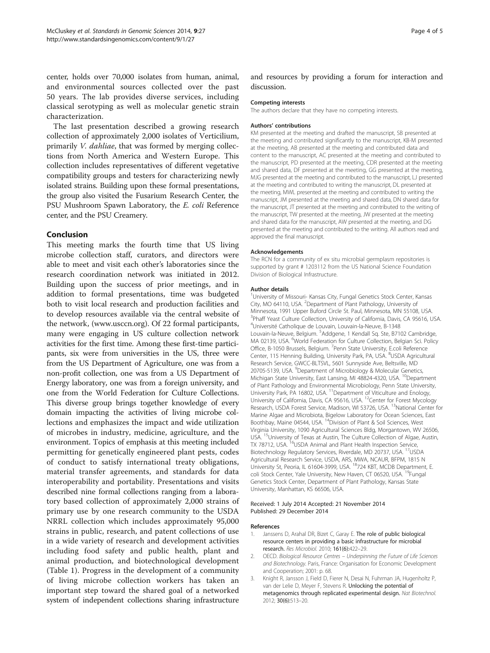<span id="page-3-0"></span>center, holds over 70,000 isolates from human, animal, and environmental sources collected over the past 50 years. The lab provides diverse services, including classical serotyping as well as molecular genetic strain characterization.

The last presentation described a growing research collection of approximately 2,000 isolates of Verticilium, primarily V. dahliae, that was formed by merging collections from North America and Western Europe. This collection includes representatives of different vegetative compatibility groups and testers for characterizing newly isolated strains. Building upon these formal presentations, the group also visited the Fusarium Research Center, the PSU Mushroom Spawn Laboratory, the E. coli Reference center, and the PSU Creamery.

## Conclusion

This meeting marks the fourth time that US living microbe collection staff, curators, and directors were able to meet and visit each other's laboratories since the research coordination network was initiated in 2012. Building upon the success of prior meetings, and in addition to formal presentations, time was budgeted both to visit local research and production facilities and to develop resources available via the central website of the network, ([www.usccn.org](http://www.usccn.org)). Of 22 formal participants, many were engaging in US culture collection network activities for the first time. Among these first-time participants, six were from universities in the US, three were from the US Department of Agriculture, one was from a non-profit collection, one was from a US Department of Energy laboratory, one was from a foreign university, and one from the World Federation for Culture Collections. This diverse group brings together knowledge of every domain impacting the activities of living microbe collections and emphasizes the impact and wide utilization of microbes in industry, medicine, agriculture, and the environment. Topics of emphasis at this meeting included permitting for genetically engineered plant pests, codes of conduct to satisfy international treaty obligations, material transfer agreements, and standards for data interoperability and portability. Presentations and visits described nine formal collections ranging from a laboratory based collection of approximately 2,000 strains of primary use by one research community to the USDA NRRL collection which includes approximately 95,000 strains in public, research, and patent collections of use in a wide variety of research and development activities including food safety and public health, plant and animal production, and biotechnological development (Table [1\)](#page-2-0). Progress in the development of a community of living microbe collection workers has taken an important step toward the shared goal of a networked system of independent collections sharing infrastructure

and resources by providing a forum for interaction and discussion.

#### Competing interests

The authors declare that they have no competing interests.

#### Authors' contributions

KM presented at the meeting and drafted the manuscript, SB presented at the meeting and contributed significantly to the manuscript, KB-M presented at the meeting, AB presented at the meeting and contributed data and content to the manuscript, AC presented at the meeting and contributed to the manuscript, PD presented at the meeting, CDR presented at the meeting and shared data, DF presented at the meeting, GG presented at the meeting, MJG presented at the meeting and contributed to the manuscript, LJ presented at the meeting and contributed to writing the manuscript, DL presented at the meeting, MWL presented at the meeting and contributed to writing the manuscript, JM presented at the meeting and shared data, DN shared data for the manuscript, JT presented at the meeting and contributed to the writing of the manuscript, TW presented at the meeting, JW presented at the meeting and shared data for the manuscript, AW presented at the meeting, and DG presented at the meeting and contributed to the writing. All authors read and approved the final manuscript.

#### Acknowledgements

The RCN for a community of ex situ microbial germplasm repositories is supported by grant # 1203112 from the US National Science Foundation Division of Biological Infrastructure.

#### Author details

<sup>1</sup>University of Missouri- Kansas City, Fungal Genetics Stock Center, Kansas City, MO 64110, USA. <sup>2</sup>Department of Plant Pathology, University of Minnesota, 1991 Upper Buford Circle St. Paul, Minnesota, MN 55108, USA. <sup>3</sup>Phaff Yeast Culture Collection, University of California, Davis, CA 95616, USA 4 Université Catholique de Louvain, Louvain-la-Neuve, B-1348 Louvain-la-Neuve, Belgium. <sup>5</sup>Addgene, 1 Kendall Sq. Ste, B7102 Cambridge, MA 02139, USA. <sup>6</sup>World Federation for Culture Collection, Belgian Sci. Policy Office, B-1050 Brussels, Belgium. <sup>7</sup>Penn State University, E.coli Reference Center, 115 Henning Building, University Park, PA, USA. <sup>8</sup>USDA Agricultural Research Service, GWCC-BLTSVL, 5601 Sunnyside Ave, Beltsville, MD 20705-5139, USA. <sup>9</sup>Department of Microbiology & Molecular Genetics, Michigan State University, East Lansing, MI 48824-4320, USA. <sup>10</sup>Department of Plant Pathology and Environmental Microbiology, Penn State University, University Park, PA 16802, USA. <sup>11</sup>Department of Viticulture and Enology, University of California, Davis, CA 95616, USA. <sup>12</sup>Center for Forest Mycology Research, USDA Forest Service, Madison, WI 53726, USA. <sup>13</sup>National Center for Marine Algae and Microbiota, Bigelow Laboratory for Ocean Sciences, East Boothbay, Maine 04544, USA. <sup>14</sup>Division of Plant & Soil Sciences, West Virginia University, 1090 Agricultural Sciences Bldg, Morgantown, WV 26506, USA. <sup>15</sup>University of Texas at Austin, The Culture Collection of Algae, Austin, TX 78712, USA.  $^{16}$ USDA Animal and Plant Health Inspection Service, Biotechnology Regulatory Services, Riverdale, MD 20737, USA. 17USDA Agricultural Research Service, USDA, ARS, MWA, NCAUR, BFPM, 1815 N University St, Peoria, IL 61604-3999, USA. <sup>18</sup>724 KBT, MCDB Department, E. coli Stock Center, Yale University, New Haven, CT 06520, USA. <sup>19</sup>Fungal Genetics Stock Center, Department of Plant Pathology, Kansas State University, Manhattan, KS 66506, USA.

#### Received: 1 July 2014 Accepted: 21 November 2014 Published: 29 December 2014

#### References

- Janssens D, Arahal DR, Bizet C, Garay E. The role of public biological resource centers in providing a basic infrastructure for microbial research. Res Microbiol. 2010; 161(6):422–29.
- 2. OECD. Biological Resource Centres Underpinning the Future of Life Sciences and Biotechnology. Paris, France: Organisation for Economic Development and Cooperation; 2001: p. 68.
- 3. Knight R, Jansson J, Field D, Fierer N, Desai N, Fuhrman JA, Hugenholtz P, van der Lelie D, Meyer F, Stevens R. Unlocking the potential of metagenomics through replicated experimental design. Nat Biotechnol. 2012; 30(6):513–20.